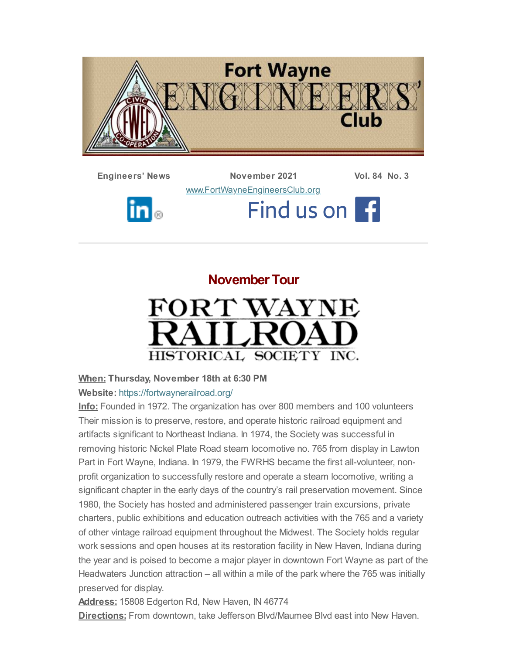

**Engineers' News November 2021 Vol. 84 No. 3** [www.FortWayneEngineersClub.org](http://www.fortwayneengineersclub.org/) Find us on F  $\ln|_\circ$ 

> **November Tour** FORT WAYNE HISTORICAL SOCIETY INC.

# **When: Thursday, November 18th at 6:30 PM**

#### **Website:** <https://fortwaynerailroad.org/>

**Info:** Founded in 1972. The organization has over 800 members and 100 volunteers Their mission is to preserve, restore, and operate historic railroad equipment and artifacts significant to Northeast Indiana. In 1974, the Society was successful in removing historic Nickel Plate Road steam locomotive no. 765 from display in Lawton Part in Fort Wayne, Indiana. In 1979, the FWRHS became the first all-volunteer, nonprofit organization to successfully restore and operate a steam locomotive, writing a significant chapter in the early days of the country's rail preservation movement. Since 1980, the Society has hosted and administered passenger train excursions, private charters, public exhibitions and education outreach activities with the 765 and a variety of other vintage railroad equipment throughout the Midwest. The Society holds regular work sessions and open houses at its restoration facility in New Haven, Indiana during the year and is poised to become a major player in downtown Fort Wayne as part of the Headwaters Junction attraction – all within a mile of the park where the 765 was initially preserved for display.

**Address:** 15808 Edgerton Rd, New Haven, IN 46774

**Directions:** From downtown, take Jefferson Blvd/Maumee Blvd east into New Haven.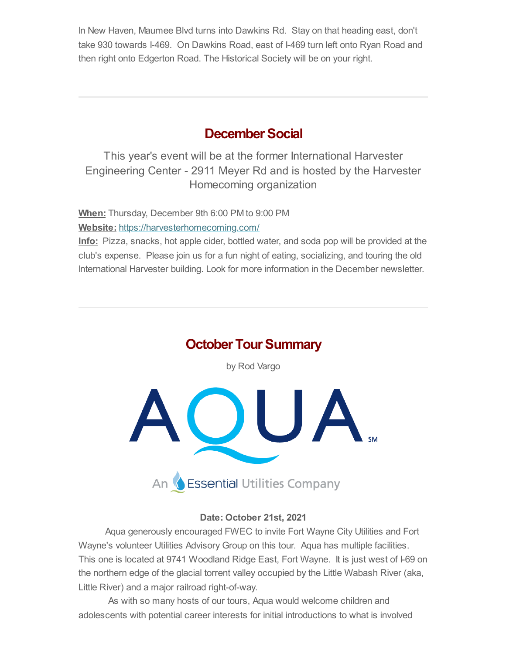In New Haven, Maumee Blvd turns into Dawkins Rd. Stay on that heading east, don't take 930 towards I-469. On Dawkins Road, east of I-469 turn left onto Ryan Road and then right onto Edgerton Road. The Historical Society will be on your right.

## **December Social**

This year's event will be at the former International Harvester Engineering Center - 2911 Meyer Rd and is hosted by the Harvester Homecoming organization

**When:** Thursday, December 9th 6:00 PM to 9:00 PM **Website:** <https://harvesterhomecoming.com/>

**Info:** Pizza, snacks, hot apple cider, bottled water, and soda pop will be provided at the club's expense. Please join us for a fun night of eating, socializing, and touring the old International Harvester building. Look for more information in the December newsletter.

# **October Tour Summary**

by Rod Vargo



#### **Date: October 21st, 2021**

Aqua generously encouraged FWEC to invite Fort Wayne City Utilities and Fort Wayne's volunteer Utilities Advisory Group on this tour. Aqua has multiple facilities. This one is located at 9741 Woodland Ridge East, Fort Wayne. It is just west of I-69 on the northern edge of the glacial torrent valley occupied by the Little Wabash River (aka, Little River) and a major railroad right-of-way.

As with so many hosts of our tours, Aqua would welcome children and adolescents with potential career interests for initial introductions to what is involved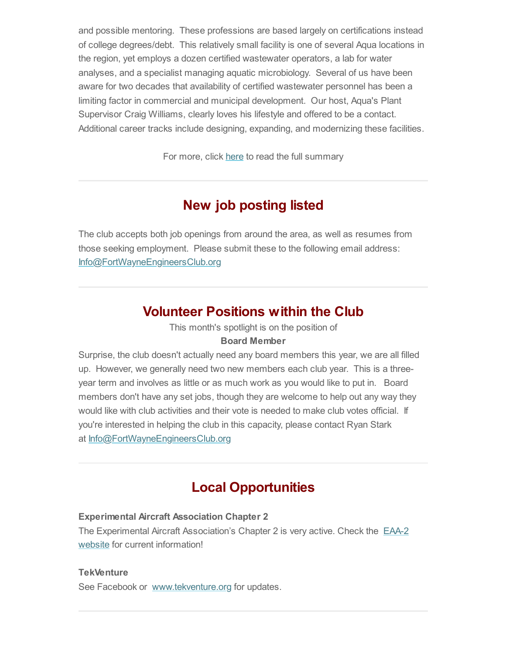and possible mentoring. These professions are based largely on certifications instead of college degrees/debt. This relatively small facility is one of several Aqua locations in the region, yet employs a dozen certified wastewater operators, a lab for water analyses, and a specialist managing aquatic microbiology. Several of us have been aware for two decades that availability of certified wastewater personnel has been a limiting factor in commercial and municipal development. Our host, Aqua's Plant Supervisor Craig Williams, clearly loves his lifestyle and offered to be a contact. Additional career tracks include designing, expanding, and modernizing these facilities.

For more, click [here](#page-4-0) to read the full summary

# **New job posting listed**

The club accepts both job openings from around the area, as well as resumes from those seeking employment. Please submit these to the following email address: [Info@FortWayneEngineersClub.org](mailto:info@fortwayneengineersclub.org)

## **Volunteer Positions within the Club**

This month's spotlight is on the position of

#### **Board Member**

Surprise, the club doesn't actually need any board members this year, we are all filled up. However, we generally need two new members each club year. This is a threeyear term and involves as little or as much work as you would like to put in. Board members don't have any set jobs, though they are welcome to help out any way they would like with club activities and their vote is needed to make club votes official. If you're interested in helping the club in this capacity, please contact Ryan Stark at [Info@FortWayneEngineersClub.org](mailto:info@fortwayneengineersclub.org)

# **Local Opportunities**

#### **Experimental Aircraft Association Chapter 2**

The Experimental Aircraft [Association's](https://www.eaa2.org/young_eagles.php) Chapter 2 is very active. Check the EAA-2 website for current information!

#### **TekVenture**

See Facebook or [www.tekventure.org](http://www.tekventure.org/) for updates.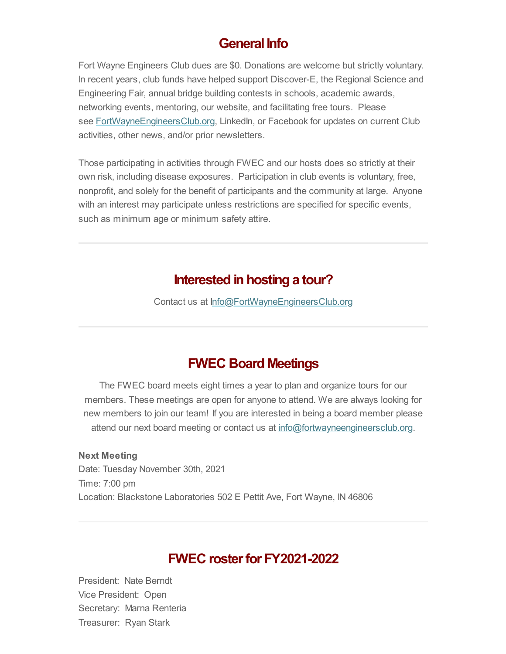### General Info

Fort Wayne Engineers Club dues are \$0. Donations are welcome but strictly voluntary. In recent years, club funds have helped support Discover-E, the Regional Science and Engineering Fair, annual bridge building contests in schools, academic awards, networking events, mentoring, our website, and facilitating free tours. Please see **[FortWayneEngineersClub.org](http://fortwayneengineersclub.org/), LinkedIn, or Facebook for updates on current Club** activities, other news, and/or prior newsletters.

Those participating in activities through FWEC and our hosts does so strictly at their own risk, including disease exposures. Participation in club events is voluntary, free, nonprofit, and solely for the benefit of participants and the community at large. Anyone with an interest may participate unless restrictions are specified for specific events, such as minimum age or minimum safety attire.

### **Interested in hosting a tour?**

Contact us at [Info@FortWayneEngineersClub.org](mailto:info@fortwayneengineersclub.org)

# **FWEC Board Meetings**

The FWEC board meets eight times a year to plan and organize tours for our members. These meetings are open for anyone to attend. We are always looking for new members to join our team! If you are interested in being a board member please attend our next board meeting or contact us at [info@fortwayneengineersclub.org.](mailto:info@fortwayneengineersclub.org)

**Next Meeting** Date: Tuesday November 30th, 2021 Time: 7:00 pm Location: Blackstone Laboratories 502 E Pettit Ave, Fort Wayne, IN 46806

### **FWEC** roster for **FY2021-2022**

President: Nate Berndt Vice President: Open Secretary: Marna Renteria Treasurer: Ryan Stark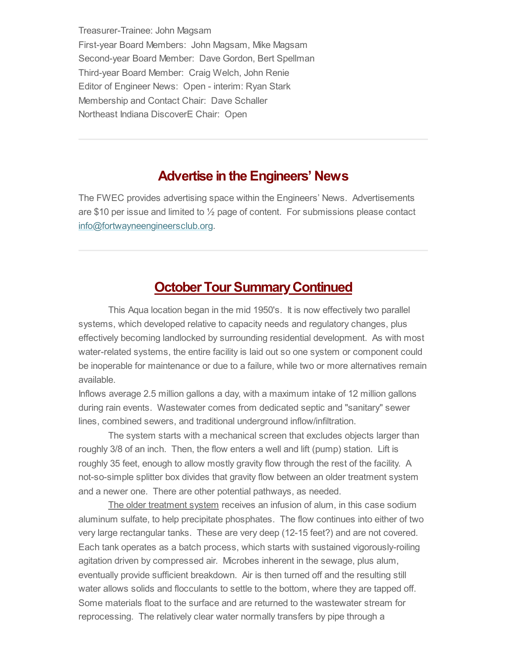Treasurer-Trainee: John Magsam First-year Board Members: John Magsam, Mike Magsam Second-year Board Member: Dave Gordon, Bert Spellman Third-year Board Member: Craig Welch, John Renie Editor of Engineer News: Open - interim: Ryan Stark Membership and Contact Chair: Dave Schaller Northeast Indiana DiscoverE Chair: Open

### **Advertise in the Engineers' News**

The FWEC provides advertising space within the Engineers' News. Advertisements are \$10 per issue and limited to  $\frac{1}{2}$  page of content. For submissions please contact [info@fortwayneengineersclub.org.](mailto:info@fortwayneengineersclub.org)

## <span id="page-4-0"></span>**October Tour Summary Continued**

This Aqua location began in the mid 1950's. It is now effectively two parallel systems, which developed relative to capacity needs and regulatory changes, plus effectively becoming landlocked by surrounding residential development. As with most water-related systems, the entire facility is laid out so one system or component could be inoperable for maintenance or due to a failure, while two or more alternatives remain available.

Inflows average 2.5 million gallons a day, with a maximum intake of 12 million gallons during rain events. Wastewater comes from dedicated septic and "sanitary" sewer lines, combined sewers, and traditional underground inflow/infiltration.

The system starts with a mechanical screen that excludes objects larger than roughly 3/8 of an inch. Then, the flow enters a well and lift (pump) station. Lift is roughly 35 feet, enough to allow mostly gravity flow through the rest of the facility. A not-so-simple splitter box divides that gravity flow between an older treatment system and a newer one. There are other potential pathways, as needed.

The older treatment system receives an infusion of alum, in this case sodium aluminum sulfate, to help precipitate phosphates. The flow continues into either of two very large rectangular tanks. These are very deep (12-15 feet?) and are not covered. Each tank operates as a batch process, which starts with sustained vigorously-roiling agitation driven by compressed air. Microbes inherent in the sewage, plus alum, eventually provide sufficient breakdown. Air is then turned off and the resulting still water allows solids and flocculants to settle to the bottom, where they are tapped off. Some materials float to the surface and are returned to the wastewater stream for reprocessing. The relatively clear water normally transfers by pipe through a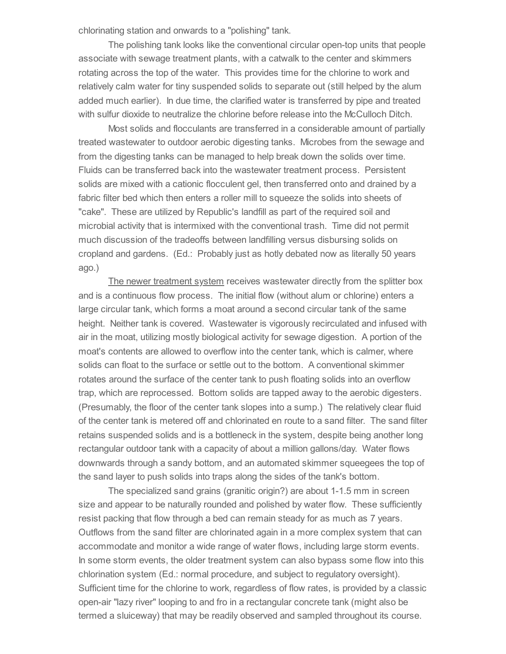chlorinating station and onwards to a "polishing" tank.

The polishing tank looks like the conventional circular open-top units that people associate with sewage treatment plants, with a catwalk to the center and skimmers rotating across the top of the water. This provides time for the chlorine to work and relatively calm water for tiny suspended solids to separate out (still helped by the alum added much earlier). In due time, the clarified water is transferred by pipe and treated with sulfur dioxide to neutralize the chlorine before release into the McCulloch Ditch.

Most solids and flocculants are transferred in a considerable amount of partially treated wastewater to outdoor aerobic digesting tanks. Microbes from the sewage and from the digesting tanks can be managed to help break down the solids over time. Fluids can be transferred back into the wastewater treatment process. Persistent solids are mixed with a cationic flocculent gel, then transferred onto and drained by a fabric filter bed which then enters a roller mill to squeeze the solids into sheets of "cake". These are utilized by Republic's landfill as part of the required soil and microbial activity that is intermixed with the conventional trash. Time did not permit much discussion of the tradeoffs between landfilling versus disbursing solids on cropland and gardens. (Ed.: Probably just as hotly debated now as literally 50 years ago.)

The newer treatment system receives wastewater directly from the splitter box and is a continuous flow process. The initial flow (without alum or chlorine) enters a large circular tank, which forms a moat around a second circular tank of the same height. Neither tank is covered. Wastewater is vigorously recirculated and infused with air in the moat, utilizing mostly biological activity for sewage digestion. A portion of the moat's contents are allowed to overflow into the center tank, which is calmer, where solids can float to the surface or settle out to the bottom. A conventional skimmer rotates around the surface of the center tank to push floating solids into an overflow trap, which are reprocessed. Bottom solids are tapped away to the aerobic digesters. (Presumably, the floor of the center tank slopes into a sump.) The relatively clear fluid of the center tank is metered off and chlorinated en route to a sand filter. The sand filter retains suspended solids and is a bottleneck in the system, despite being another long rectangular outdoor tank with a capacity of about a million gallons/day. Water flows downwards through a sandy bottom, and an automated skimmer squeegees the top of the sand layer to push solids into traps along the sides of the tank's bottom.

The specialized sand grains (granitic origin?) are about 1-1.5 mm in screen size and appear to be naturally rounded and polished by water flow. These sufficiently resist packing that flow through a bed can remain steady for as much as 7 years. Outflows from the sand filter are chlorinated again in a more complex system that can accommodate and monitor a wide range of water flows, including large storm events. In some storm events, the older treatment system can also bypass some flow into this chlorination system (Ed.: normal procedure, and subject to regulatory oversight). Sufficient time for the chlorine to work, regardless of flow rates, is provided by a classic open-air "lazy river" looping to and fro in a rectangular concrete tank (might also be termed a sluiceway) that may be readily observed and sampled throughout its course.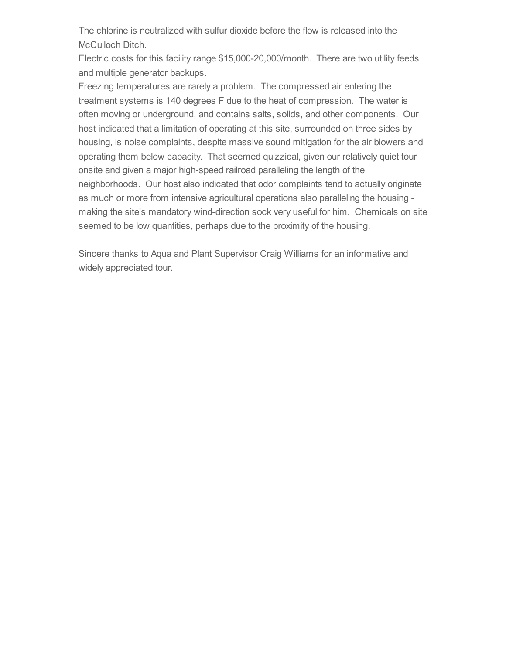The chlorine is neutralized with sulfur dioxide before the flow is released into the McCulloch Ditch.

Electric costs for this facility range \$15,000-20,000/month. There are two utility feeds and multiple generator backups.

Freezing temperatures are rarely a problem. The compressed air entering the treatment systems is 140 degrees F due to the heat of compression. The water is often moving or underground, and contains salts, solids, and other components. Our host indicated that a limitation of operating at this site, surrounded on three sides by housing, is noise complaints, despite massive sound mitigation for the air blowers and operating them below capacity. That seemed quizzical, given our relatively quiet tour onsite and given a major high-speed railroad paralleling the length of the neighborhoods. Our host also indicated that odor complaints tend to actually originate as much or more from intensive agricultural operations also paralleling the housing making the site's mandatory wind-direction sock very useful for him. Chemicals on site seemed to be low quantities, perhaps due to the proximity of the housing.

Sincere thanks to Aqua and Plant Supervisor Craig Williams for an informative and widely appreciated tour.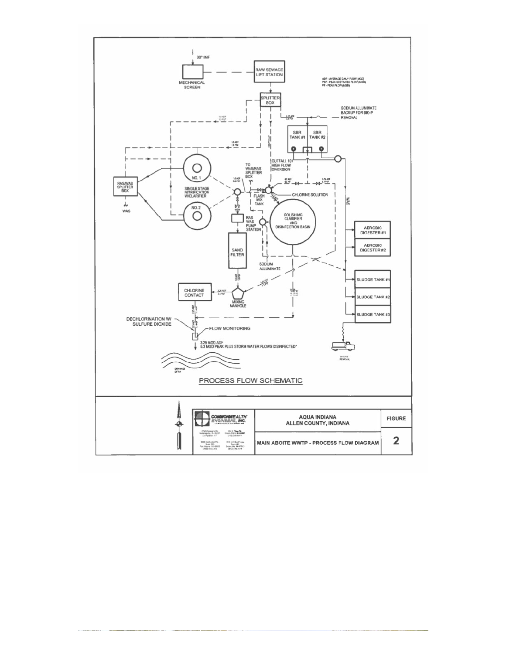